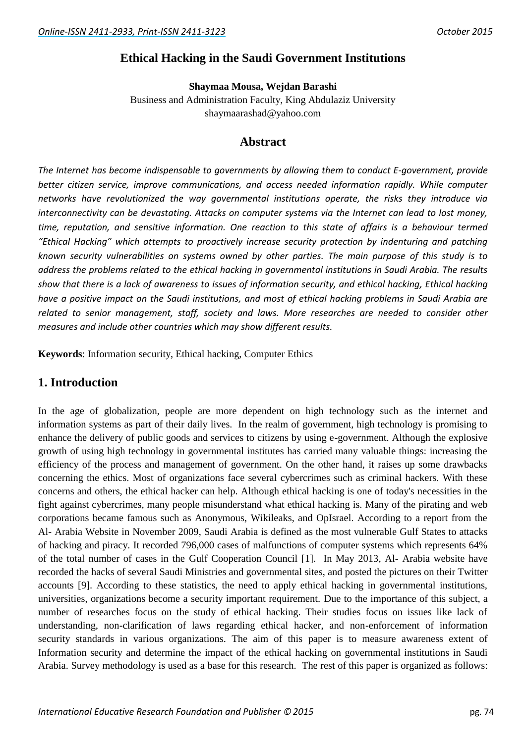## **Ethical Hacking in the Saudi Government Institutions**

**Shaymaa Mousa, Wejdan Barashi**

Business and Administration Faculty, King Abdulaziz University shaymaarashad@yahoo.com

## **Abstract**

*The Internet has become indispensable to governments by allowing them to conduct E-government, provide better citizen service, improve communications, and access needed information rapidly. While computer networks have revolutionized the way governmental institutions operate, the risks they introduce via interconnectivity can be devastating. Attacks on computer systems via the Internet can lead to lost money, time, reputation, and sensitive information. One reaction to this state of affairs is a behaviour termed "Ethical Hacking" which attempts to proactively increase security protection by indenturing and patching known security vulnerabilities on systems owned by other parties. The main purpose of this study is to address the problems related to the ethical hacking in governmental institutions in Saudi Arabia. The results show that there is a lack of awareness to issues of information security, and ethical hacking, Ethical hacking have a positive impact on the Saudi institutions, and most of ethical hacking problems in Saudi Arabia are related to senior management, staff, society and laws. More researches are needed to consider other measures and include other countries which may show different results.*

**Keywords**: Information security, Ethical hacking, Computer Ethics

## **1. Introduction**

In the age of globalization, people are more dependent on high technology such as the internet and information systems as part of their daily lives. In the realm of government, high technology is promising to enhance the delivery of public goods and services to citizens by using e-government. Although the explosive growth of using high technology in governmental institutes has carried many valuable things: increasing the efficiency of the process and management of government. On the other hand, it raises up some drawbacks concerning the ethics. Most of organizations face several cybercrimes such as criminal hackers. With these concerns and others, the ethical hacker can help. Although ethical hacking is one of today's necessities in the fight against cybercrimes, many people misunderstand what ethical hacking is. Many of the pirating and web corporations became famous such as Anonymous, Wikileaks, and OpIsrael. According to a report from the Al- Arabia Website in November 2009, Saudi Arabia is defined as the most vulnerable Gulf States to attacks of hacking and piracy. It recorded 796,000 cases of malfunctions of computer systems which represents 64% of the total number of cases in the Gulf Cooperation Council [1]. In May 2013, Al- Arabia website have recorded the hacks of several Saudi Ministries and governmental sites, and posted the pictures on their Twitter accounts [9]. According to these statistics, the need to apply ethical hacking in governmental institutions, universities, organizations become a security important requirement. Due to the importance of this subject, a number of researches focus on the study of ethical hacking. Their studies focus on issues like lack of understanding, non-clarification of laws regarding ethical hacker, and non-enforcement of information security standards in various organizations. The aim of this paper is to measure awareness extent of Information security and determine the impact of the ethical hacking on governmental institutions in Saudi Arabia. Survey methodology is used as a base for this research. The rest of this paper is organized as follows: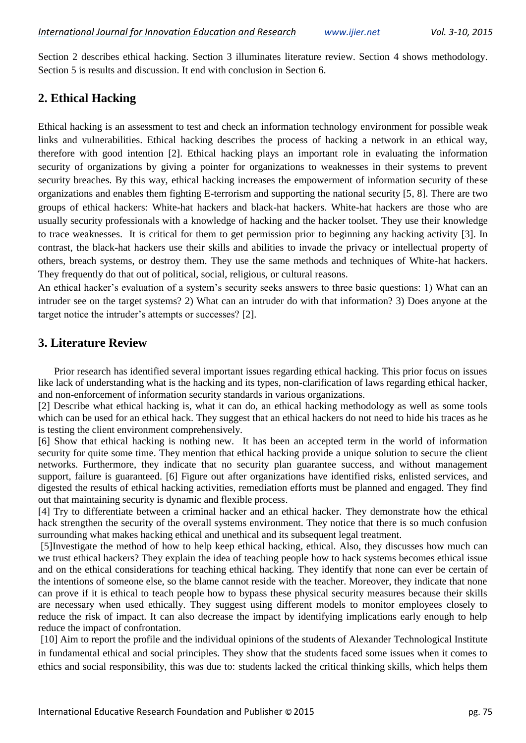Section 2 describes ethical hacking. Section 3 illuminates literature review. Section 4 shows methodology. Section 5 is results and discussion. It end with conclusion in Section 6.

# **2. Ethical Hacking**

Ethical hacking is an assessment to test and check an information technology environment for possible weak links and vulnerabilities. Ethical hacking describes the process of hacking a network in an ethical way, therefore with good intention [2]. Ethical hacking plays an important role in evaluating the information security of organizations by giving a pointer for organizations to weaknesses in their systems to prevent security breaches. By this way, ethical hacking increases the empowerment of information security of these organizations and enables them fighting E-terrorism and supporting the national security [5, 8]. There are two groups of ethical hackers: White-hat hackers and black-hat hackers. White-hat hackers are those who are usually security professionals with a knowledge of hacking and the hacker toolset. They use their knowledge to trace weaknesses. It is critical for them to get permission prior to beginning any hacking activity [3]. In contrast, the black-hat hackers use their skills and abilities to invade the privacy or intellectual property of others, breach systems, or destroy them. They use the same methods and techniques of White-hat hackers. They frequently do that out of political, social, religious, or cultural reasons.

An ethical hacker's evaluation of a system's security seeks answers to three basic questions: 1) What can an intruder see on the target systems? 2) What can an intruder do with that information? 3) Does anyone at the target notice the intruder's attempts or successes? [2].

# **3. Literature Review**

Prior research has identified several important issues regarding ethical hacking. This prior focus on issues like lack of understanding what is the hacking and its types, non-clarification of laws regarding ethical hacker, and non-enforcement of information security standards in various organizations.

[2] Describe what ethical hacking is, what it can do, an ethical hacking methodology as well as some tools which can be used for an ethical hack. They suggest that an ethical hackers do not need to hide his traces as he is testing the client environment comprehensively.

[6] Show that ethical hacking is nothing new. It has been an accepted term in the world of information security for quite some time. They mention that ethical hacking provide a unique solution to secure the client networks. Furthermore, they indicate that no security plan guarantee success, and without management support, failure is guaranteed. [6] Figure out after organizations have identified risks, enlisted services, and digested the results of ethical hacking activities, remediation efforts must be planned and engaged. They find out that maintaining security is dynamic and flexible process.

[4] Try to differentiate between a criminal hacker and an ethical hacker. They demonstrate how the ethical hack strengthen the security of the overall systems environment. They notice that there is so much confusion surrounding what makes hacking ethical and unethical and its subsequent legal treatment.

[5]Investigate the method of how to help keep ethical hacking, ethical. Also, they discusses how much can we trust ethical hackers? They explain the idea of teaching people how to hack systems becomes ethical issue and on the ethical considerations for teaching ethical hacking. They identify that none can ever be certain of the intentions of someone else, so the blame cannot reside with the teacher. Moreover, they indicate that none can prove if it is ethical to teach people how to bypass these physical security measures because their skills are necessary when used ethically. They suggest using different models to monitor employees closely to reduce the risk of impact. It can also decrease the impact by identifying implications early enough to help reduce the impact of confrontation.

[10] Aim to report the profile and the individual opinions of the students of Alexander Technological Institute in fundamental ethical and social principles. They show that the students faced some issues when it comes to ethics and social responsibility, this was due to: students lacked the critical thinking skills, which helps them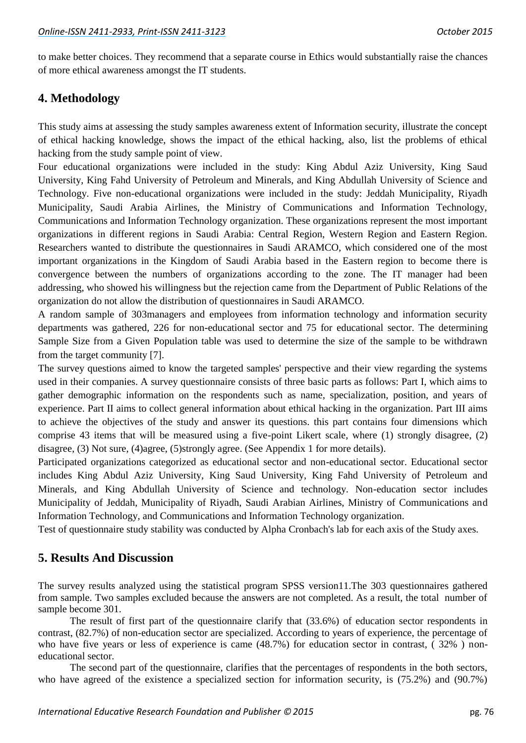to make better choices. They recommend that a separate course in Ethics would substantially raise the chances of more ethical awareness amongst the IT students.

## **4. Methodology**

This study aims at assessing the study samples awareness extent of Information security, illustrate the concept of ethical hacking knowledge, shows the impact of the ethical hacking, also, list the problems of ethical hacking from the study sample point of view.

Four educational organizations were included in the study: King Abdul Aziz University, King Saud University, King Fahd University of Petroleum and Minerals, and King Abdullah University of Science and Technology. Five non-educational organizations were included in the study: Jeddah Municipality, Riyadh Municipality, Saudi Arabia Airlines, the Ministry of Communications and Information Technology, Communications and Information Technology organization. These organizations represent the most important organizations in different regions in Saudi Arabia: Central Region, Western Region and Eastern Region. Researchers wanted to distribute the questionnaires in Saudi ARAMCO, which considered one of the most important organizations in the Kingdom of Saudi Arabia based in the Eastern region to become there is convergence between the numbers of organizations according to the zone. The IT manager had been addressing, who showed his willingness but the rejection came from the Department of Public Relations of the organization do not allow the distribution of questionnaires in Saudi ARAMCO.

A random sample of 303managers and employees from information technology and information security departments was gathered, 226 for non-educational sector and 75 for educational sector. The determining Sample Size from a Given Population table was used to determine the size of the sample to be withdrawn from the target community [7].

The survey questions aimed to know the targeted samples' perspective and their view regarding the systems used in their companies. A survey questionnaire consists of three basic parts as follows: Part I, which aims to gather demographic information on the respondents such as name, specialization, position, and years of experience. Part II aims to collect general information about ethical hacking in the organization. Part III aims to achieve the objectives of the study and answer its questions. this part contains four dimensions which comprise 43 items that will be measured using a five-point Likert scale, where (1) strongly disagree, (2) disagree, (3) Not sure, (4)agree, (5)strongly agree. (See Appendix 1 for more details).

Participated organizations categorized as educational sector and non-educational sector. Educational sector includes King Abdul Aziz University, King Saud University, King Fahd University of Petroleum and Minerals, and King Abdullah University of Science and technology. Non-education sector includes Municipality of Jeddah, Municipality of Riyadh, Saudi Arabian Airlines, Ministry of Communications and Information Technology, and Communications and Information Technology organization.

Test of questionnaire study stability was conducted by Alpha Cronbach's lab for each axis of the Study axes.

### **5. Results And Discussion**

The survey results analyzed using the statistical program SPSS version11.The 303 questionnaires gathered from sample. Two samples excluded because the answers are not completed. As a result, the total number of sample become 301.

The result of first part of the questionnaire clarify that (33.6%) of education sector respondents in contrast, (82.7%) of non-education sector are specialized. According to years of experience, the percentage of who have five years or less of experience is came (48.7%) for education sector in contrast, ( 32% ) noneducational sector.

The second part of the questionnaire, clarifies that the percentages of respondents in the both sectors, who have agreed of the existence a specialized section for information security, is (75.2%) and (90.7%)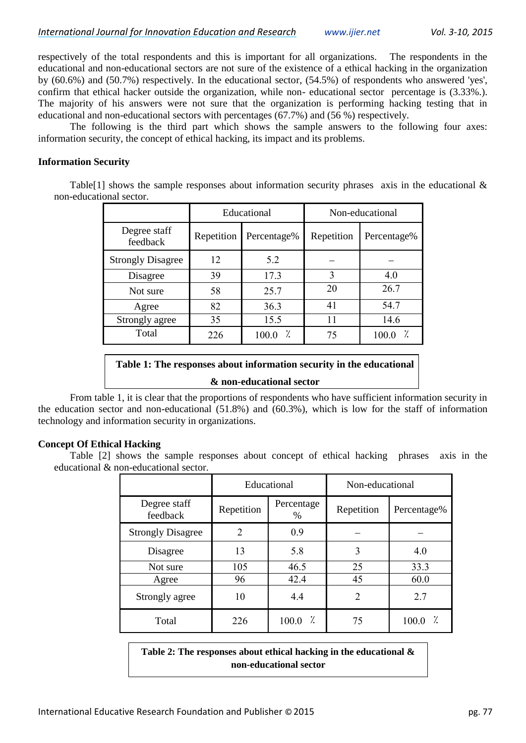respectively of the total respondents and this is important for all organizations. The respondents in the educational and non-educational sectors are not sure of the existence of a ethical hacking in the organization by (60.6%) and (50.7%) respectively. In the educational sector, (54.5%) of respondents who answered 'yes', confirm that ethical hacker outside the organization, while non- educational sector percentage is (3.33%.). The majority of his answers were not sure that the organization is performing hacking testing that in educational and non-educational sectors with percentages (67.7%) and (56 %) respectively.

The following is the third part which shows the sample answers to the following four axes: information security, the concept of ethical hacking, its impact and its problems.

#### **Information Security**

Table<sup>[1]</sup> shows the sample responses about information security phrases axis in the educational  $\&$ non-educational sector.

|                          | Educational |             |            | Non-educational |
|--------------------------|-------------|-------------|------------|-----------------|
| Degree staff<br>feedback | Repetition  | Percentage% | Repetition | Percentage%     |
| <b>Strongly Disagree</b> | 12          | 5.2         |            |                 |
| Disagree                 | 39          | 17.3        | 3          | 4.0             |
| Not sure                 | 58          | 25.7        | 20         | 26.7            |
| Agree                    | 82          | 36.3        | 41         | 54.7            |
| Strongly agree           | 35          | 15.5        | 11         | 14.6            |
| Total                    | 226         | 100.0       | 75         | 100.0           |

# **Table 1: The responses about information security in the educational & non-educational sector**

From table 1, it is clear that the proportions of respondents who have sufficient information security in the education sector and non-educational (51.8%) and (60.3%), which is low for the staff of information technology and information security in organizations.

#### **Concept Of Ethical Hacking**

Table [2] shows the sample responses about concept of ethical hacking phrases axis in the educational & non-educational sector.

|                          | Educational |                    | Non-educational |             |  |
|--------------------------|-------------|--------------------|-----------------|-------------|--|
| Degree staff<br>feedback | Repetition  | Percentage<br>$\%$ | Repetition      | Percentage% |  |
| <b>Strongly Disagree</b> | 2           | 0.9                |                 |             |  |
| Disagree                 | 13          | 5.8                | 3               | 4.0         |  |
| Not sure                 | 105         | 46.5               | 25              | 33.3        |  |
| Agree                    | 96          | 42.4               | 45              | 60.0        |  |
| Strongly agree           | 10          | 4.4                | $\overline{2}$  | 2.7         |  |
| Total                    | 226         | 100.0<br>7.        | 75              | 100.0       |  |

**Table 2: The responses about ethical hacking in the educational & non-educational sector**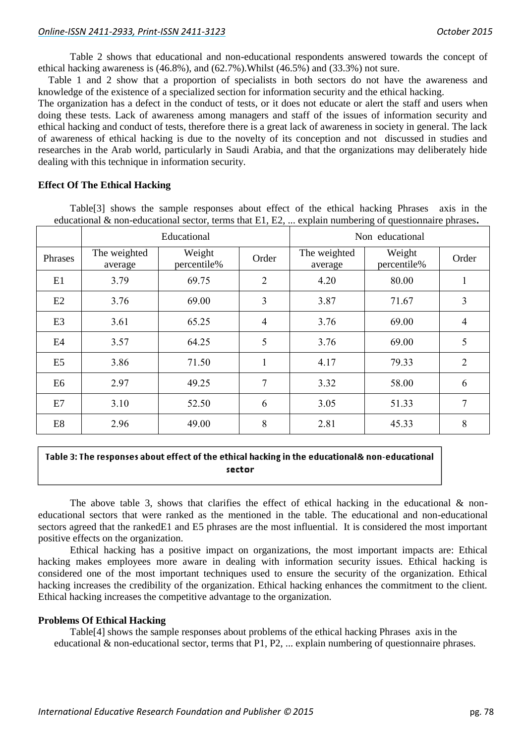Table 2 shows that educational and non-educational respondents answered towards the concept of ethical hacking awareness is (46.8%), and (62.7%).Whilst (46.5%) and (33.3%) not sure.

 Table 1 and 2 show that a proportion of specialists in both sectors do not have the awareness and knowledge of the existence of a specialized section for information security and the ethical hacking.

The organization has a defect in the conduct of tests, or it does not educate or alert the staff and users when doing these tests. Lack of awareness among managers and staff of the issues of information security and ethical hacking and conduct of tests, therefore there is a great lack of awareness in society in general. The lack of awareness of ethical hacking is due to the novelty of its conception and not discussed in studies and researches in the Arab world, particularly in Saudi Arabia, and that the organizations may deliberately hide dealing with this technique in information security.

#### **Effect Of The Ethical Hacking**

Table[3] shows the sample responses about effect of the ethical hacking Phrases axis in the educational & non-educational sector, terms that E1, E2, ... explain numbering of questionnaire phrases**.**

|                |                         | Educational           |                |                         | Non educational       |                |  |  |
|----------------|-------------------------|-----------------------|----------------|-------------------------|-----------------------|----------------|--|--|
| Phrases        | The weighted<br>average | Weight<br>percentile% | Order          | The weighted<br>average | Weight<br>percentile% | Order          |  |  |
| E1             | 3.79                    | 69.75                 | $\overline{2}$ | 4.20                    | 80.00                 | 1              |  |  |
| E2             | 3.76                    | 69.00                 | 3              | 3.87                    | 71.67                 | 3              |  |  |
| E <sub>3</sub> | 3.61                    | 65.25                 | $\overline{4}$ | 3.76                    | 69.00                 | $\overline{4}$ |  |  |
| E4             | 3.57                    | 64.25                 | 5              | 3.76                    | 69.00                 | 5              |  |  |
| E <sub>5</sub> | 3.86                    | 71.50                 | $\mathbf{1}$   | 4.17                    | 79.33                 | $\overline{2}$ |  |  |
| E <sub>6</sub> | 2.97                    | 49.25                 | 7              | 3.32                    | 58.00                 | 6              |  |  |
| E7             | 3.10                    | 52.50                 | 6              | 3.05                    | 51.33                 | $\overline{7}$ |  |  |
| E <sub>8</sub> | 2.96                    | 49.00                 | 8              | 2.81                    | 45.33                 | 8              |  |  |

#### Table 3: The responses about effect of the ethical hacking in the educational& non-educational sector

The above table 3, shows that clarifies the effect of ethical hacking in the educational  $\&$  noneducational sectors that were ranked as the mentioned in the table. The educational and non-educational sectors agreed that the rankedE1 and E5 phrases are the most influential. It is considered the most important positive effects on the organization.

Ethical hacking has a positive impact on organizations, the most important impacts are: Ethical hacking makes employees more aware in dealing with information security issues. Ethical hacking is considered one of the most important techniques used to ensure the security of the organization. Ethical hacking increases the credibility of the organization. Ethical hacking enhances the commitment to the client. Ethical hacking increases the competitive advantage to the organization.

#### **Problems Of Ethical Hacking**

Table[4] shows the sample responses about problems of the ethical hacking Phrases axis in the educational & non-educational sector, terms that P1, P2, ... explain numbering of questionnaire phrases.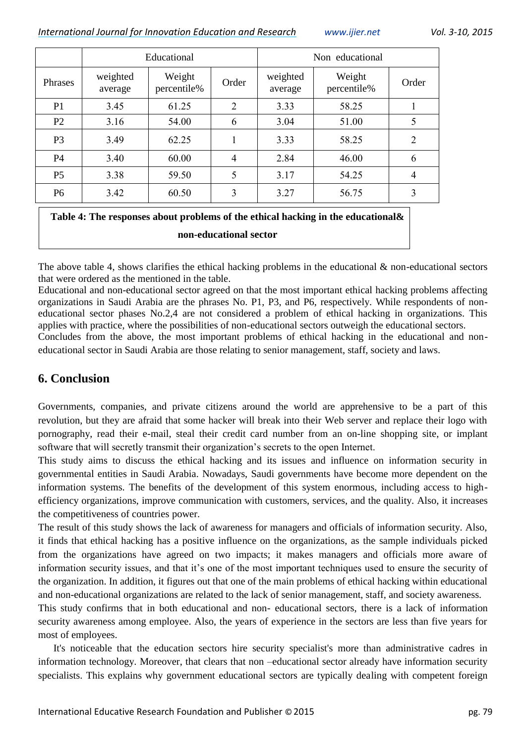*International Journal for Innovation Education and Research [www.ijier.net](http://www.ijier.net/) Vol. 3-10, 2015*

|                |                     | Educational           |                |                     | Non educational       |                |  |  |
|----------------|---------------------|-----------------------|----------------|---------------------|-----------------------|----------------|--|--|
| Phrases        | weighted<br>average | Weight<br>percentile% | Order          | weighted<br>average | Weight<br>percentile% | Order          |  |  |
| P <sub>1</sub> | 3.45                | 61.25                 | 2              | 3.33                | 58.25                 |                |  |  |
| P <sub>2</sub> | 3.16                | 54.00                 | 6              | 3.04                | 51.00                 | 5              |  |  |
| P <sub>3</sub> | 3.49                | 62.25                 |                | 3.33                | 58.25                 | $\overline{2}$ |  |  |
| P4             | 3.40                | 60.00                 | $\overline{4}$ | 2.84                | 46.00                 | 6              |  |  |
| P <sub>5</sub> | 3.38                | 59.50                 | 5              | 3.17                | 54.25                 | $\overline{4}$ |  |  |
| P <sub>6</sub> | 3.42                | 60.50                 | 3              | 3.27                | 56.75                 | 3              |  |  |

# **Table 4: The responses about problems of the ethical hacking in the educational& non-educational sector**

The above table 4, shows clarifies the ethical hacking problems in the educational & non-educational sectors that were ordered as the mentioned in the table.

Educational and non-educational sector agreed on that the most important ethical hacking problems affecting organizations in Saudi Arabia are the phrases No. P1, P3, and P6, respectively. While respondents of noneducational sector phases No.2,4 are not considered a problem of ethical hacking in organizations. This applies with practice, where the possibilities of non-educational sectors outweigh the educational sectors. Concludes from the above, the most important problems of ethical hacking in the educational and non-

educational sector in Saudi Arabia are those relating to senior management, staff, society and laws.

# **6. Conclusion**

Governments, companies, and private citizens around the world are apprehensive to be a part of this revolution, but they are afraid that some hacker will break into their Web server and replace their logo with pornography, read their e-mail, steal their credit card number from an on-line shopping site, or implant software that will secretly transmit their organization's secrets to the open Internet.

This study aims to discuss the ethical hacking and its issues and influence on information security in governmental entities in Saudi Arabia. Nowadays, Saudi governments have become more dependent on the information systems. The benefits of the development of this system enormous, including access to highefficiency organizations, improve communication with customers, services, and the quality. Also, it increases the competitiveness of countries power.

The result of this study shows the lack of awareness for managers and officials of information security. Also, it finds that ethical hacking has a positive influence on the organizations, as the sample individuals picked from the organizations have agreed on two impacts; it makes managers and officials more aware of information security issues, and that it's one of the most important techniques used to ensure the security of the organization. In addition, it figures out that one of the main problems of ethical hacking within educational and non-educational organizations are related to the lack of senior management, staff, and society awareness.

This study confirms that in both educational and non- educational sectors, there is a lack of information security awareness among employee. Also, the years of experience in the sectors are less than five years for most of employees.

 It's noticeable that the education sectors hire security specialist's more than administrative cadres in information technology. Moreover, that clears that non –educational sector already have information security specialists. This explains why government educational sectors are typically dealing with competent foreign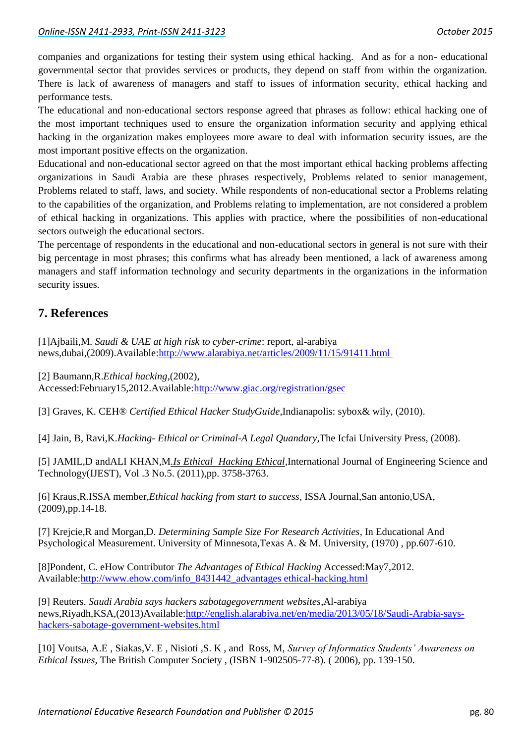companies and organizations for testing their system using ethical hacking. And as for a non- educational governmental sector that provides services or products, they depend on staff from within the organization. There is lack of awareness of managers and staff to issues of information security, ethical hacking and performance tests.

The educational and non-educational sectors response agreed that phrases as follow: ethical hacking one of the most important techniques used to ensure the organization information security and applying ethical hacking in the organization makes employees more aware to deal with information security issues, are the most important positive effects on the organization.

Educational and non-educational sector agreed on that the most important ethical hacking problems affecting organizations in Saudi Arabia are these phrases respectively, Problems related to senior management, Problems related to staff, laws, and society. While respondents of non-educational sector a Problems relating to the capabilities of the organization, and Problems relating to implementation, are not considered a problem of ethical hacking in organizations. This applies with practice, where the possibilities of non-educational sectors outweigh the educational sectors.

The percentage of respondents in the educational and non-educational sectors in general is not sure with their big percentage in most phrases; this confirms what has already been mentioned, a lack of awareness among managers and staff information technology and security departments in the organizations in the information security issues.

# **7. References**

[1]Ajbaili,M. *Saudi & UAE at high risk to cyber-crime*: report, al-arabiya news,dubai,(2009).Available:http://www.alarabiya.net/articles/2009/11/15/91411.html

[2] Baumann,R.*Ethical hacking*,(2002), Accessed:February15,2012.Available[:http://www.giac.org/registration/gsec](http://www.giac.org/registration/gsec)

[3] Graves, K. CEH® *Certified Ethical Hacker StudyGuide*,Indianapolis: sybox& wily, (2010).

[4] Jain, B, Ravi,K.*Hacking- Ethical or Criminal-A Legal Quandary*,The Icfai University Press, (2008).

[5] JAMIL,D andALI KHAN,M*.Is Ethical Hacking Ethical*,International Journal of Engineering Science and Technology(IJEST), Vol .3 No.5. (2011),pp. 3758-3763.

[6] Kraus,R.ISSA member*,Ethical hacking from start to success*, ISSA Journal,San antonio,USA, (2009),pp.14-18.

[7] Krejcie,R and Morgan,D. *Determining Sample Size For Research Activities*, In Educational And Psychological Measurement. University of Minnesota,Texas A. & M. University, (1970) , pp.607-610.

[8]Pondent, C. eHow Contributor *The Advantages of Ethical Hacking* Accessed:May7,2012. Available:http://www.ehow.com/info\_8431442\_advantages ethical-hacking.html

[9] Reuters. *Saudi Arabia says hackers sabotagegovernment websites*,Al-arabiya news,Riyadh,KSA,(2013)Available[:http://english.alarabiya.net/en/media/2013/05/18/Saudi-Arabia-says](http://english.alarabiya.net/en/media/2013/05/18/Saudi-Arabia-says-hackers-sabotage-government-websites.html)[hackers-sabotage-government-websites.html](http://english.alarabiya.net/en/media/2013/05/18/Saudi-Arabia-says-hackers-sabotage-government-websites.html)

[10] Voutsa, A.E , Siakas,V. E , Nisioti ,S. K , and Ross, M, *Survey of Informatics Students' Awareness on Ethical Issues*, The British Computer Society , (ISBN 1-902505-77-8). ( 2006), pp. 139-150.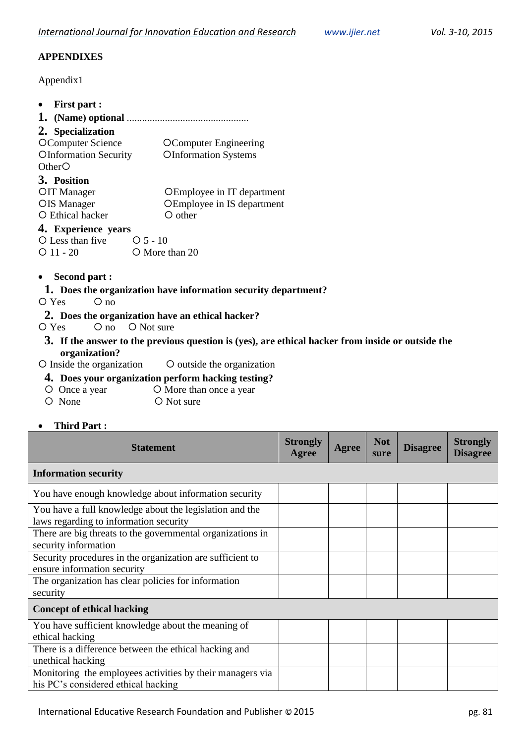## **APPENDIXES**

Appendix1

| <b>First part :</b>                                                                                                                                                                                                                                                                                                                                                                                                                                            |                                                                                                                                          |                                 |              |                    |                 |                                    |
|----------------------------------------------------------------------------------------------------------------------------------------------------------------------------------------------------------------------------------------------------------------------------------------------------------------------------------------------------------------------------------------------------------------------------------------------------------------|------------------------------------------------------------------------------------------------------------------------------------------|---------------------------------|--------------|--------------------|-----------------|------------------------------------|
|                                                                                                                                                                                                                                                                                                                                                                                                                                                                |                                                                                                                                          |                                 |              |                    |                 |                                    |
| 2. Specialization<br><b>OComputer Science</b><br><b>OInformation Security</b><br>OtherO<br>3. Position<br>OIT Manager<br>OIS Manager<br>O Ethical hacker<br>4. Experience years                                                                                                                                                                                                                                                                                | <b>OComputer Engineering</b><br><b>OInformation Systems</b><br>OEmployee in IT department<br>OEmployee in IS department<br>$\circ$ other |                                 |              |                    |                 |                                    |
| O Less than five<br>$O5-10$                                                                                                                                                                                                                                                                                                                                                                                                                                    |                                                                                                                                          |                                 |              |                    |                 |                                    |
| $O$ 11 - 20                                                                                                                                                                                                                                                                                                                                                                                                                                                    | O More than 20                                                                                                                           |                                 |              |                    |                 |                                    |
| <b>Second part :</b><br>1. Does the organization have information security department?<br>O Yes<br>$O$ no<br>2. Does the organization have an ethical hacker?<br>O Not sure<br>$\circ$ no<br>$O$ Yes<br>3. If the answer to the previous question is (yes), are ethical hacker from inside or outside the<br>organization?<br>O Inside the organization<br>4. Does your organization perform hacking testing?<br>O Once a year<br>O None<br><b>Third Part:</b> | O outside the organization<br>O More than once a year<br>O Not sure                                                                      |                                 |              |                    |                 |                                    |
| <b>Statement</b>                                                                                                                                                                                                                                                                                                                                                                                                                                               |                                                                                                                                          | <b>Strongly</b><br><b>Agree</b> | <b>Agree</b> | <b>Not</b><br>sure | <b>Disagree</b> | <b>Strongly</b><br><b>Disagree</b> |
| <b>Information security</b>                                                                                                                                                                                                                                                                                                                                                                                                                                    |                                                                                                                                          |                                 |              |                    |                 |                                    |
| You have enough knowledge about information security                                                                                                                                                                                                                                                                                                                                                                                                           |                                                                                                                                          |                                 |              |                    |                 |                                    |
| You have a full knowledge about the legislation and the<br>laws regarding to information security                                                                                                                                                                                                                                                                                                                                                              |                                                                                                                                          |                                 |              |                    |                 |                                    |
| There are big threats to the governmental organizations in<br>security information                                                                                                                                                                                                                                                                                                                                                                             |                                                                                                                                          |                                 |              |                    |                 |                                    |
| Security procedures in the organization are sufficient to                                                                                                                                                                                                                                                                                                                                                                                                      |                                                                                                                                          |                                 |              |                    |                 |                                    |
| ensure information security                                                                                                                                                                                                                                                                                                                                                                                                                                    |                                                                                                                                          |                                 |              |                    |                 |                                    |
| The organization has clear policies for information                                                                                                                                                                                                                                                                                                                                                                                                            |                                                                                                                                          |                                 |              |                    |                 |                                    |

## **Concept of ethical hacking**

security

| You have sufficient knowledge about the meaning of        |  |  |  |
|-----------------------------------------------------------|--|--|--|
| ethical hacking                                           |  |  |  |
| There is a difference between the ethical hacking and     |  |  |  |
| unethical hacking                                         |  |  |  |
| Monitoring the employees activities by their managers via |  |  |  |
| his PC's considered ethical hacking                       |  |  |  |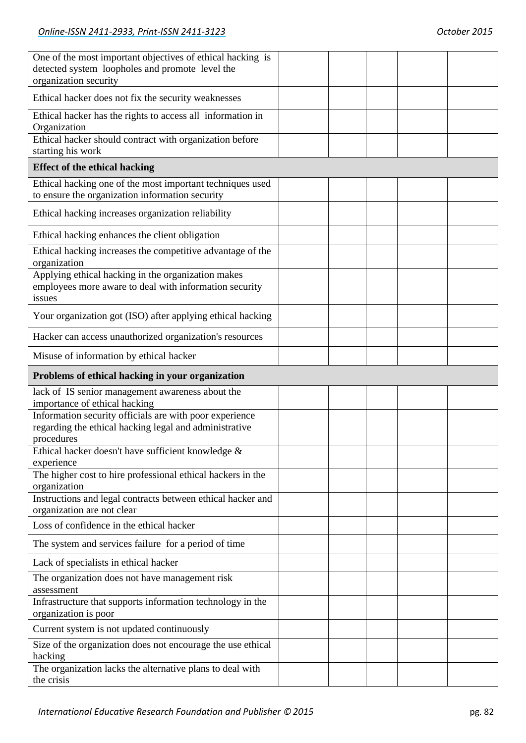| One of the most important objectives of ethical hacking is<br>detected system loopholes and promote level the<br>organization security |  |  |
|----------------------------------------------------------------------------------------------------------------------------------------|--|--|
| Ethical hacker does not fix the security weaknesses                                                                                    |  |  |
| Ethical hacker has the rights to access all information in<br>Organization                                                             |  |  |
| Ethical hacker should contract with organization before<br>starting his work                                                           |  |  |
| <b>Effect of the ethical hacking</b>                                                                                                   |  |  |
| Ethical hacking one of the most important techniques used<br>to ensure the organization information security                           |  |  |
| Ethical hacking increases organization reliability                                                                                     |  |  |
| Ethical hacking enhances the client obligation                                                                                         |  |  |
| Ethical hacking increases the competitive advantage of the<br>organization                                                             |  |  |
| Applying ethical hacking in the organization makes<br>employees more aware to deal with information security<br>issues                 |  |  |
| Your organization got (ISO) after applying ethical hacking                                                                             |  |  |
| Hacker can access unauthorized organization's resources                                                                                |  |  |
| Misuse of information by ethical hacker                                                                                                |  |  |
|                                                                                                                                        |  |  |
| Problems of ethical hacking in your organization                                                                                       |  |  |
| lack of IS senior management awareness about the<br>importance of ethical hacking                                                      |  |  |
| Information security officials are with poor experience<br>regarding the ethical hacking legal and administrative<br>procedures        |  |  |
| Ethical hacker doesn't have sufficient knowledge &<br>experience                                                                       |  |  |
| The higher cost to hire professional ethical hackers in the                                                                            |  |  |
| organization<br>Instructions and legal contracts between ethical hacker and<br>organization are not clear                              |  |  |
| Loss of confidence in the ethical hacker                                                                                               |  |  |
| The system and services failure for a period of time                                                                                   |  |  |
| Lack of specialists in ethical hacker                                                                                                  |  |  |
| The organization does not have management risk<br>assessment                                                                           |  |  |
| Infrastructure that supports information technology in the<br>organization is poor                                                     |  |  |
| Current system is not updated continuously                                                                                             |  |  |
| Size of the organization does not encourage the use ethical<br>hacking<br>The organization lacks the alternative plans to deal with    |  |  |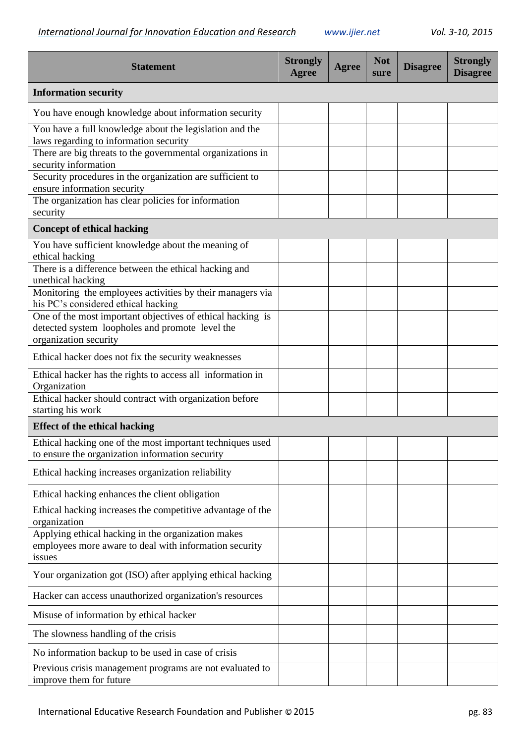| <b>Statement</b>                                                                                                                       | <b>Strongly</b><br>Agree | <b>Agree</b> | <b>Not</b><br>sure | <b>Disagree</b> | <b>Strongly</b><br><b>Disagree</b> |
|----------------------------------------------------------------------------------------------------------------------------------------|--------------------------|--------------|--------------------|-----------------|------------------------------------|
| <b>Information security</b>                                                                                                            |                          |              |                    |                 |                                    |
| You have enough knowledge about information security                                                                                   |                          |              |                    |                 |                                    |
| You have a full knowledge about the legislation and the<br>laws regarding to information security                                      |                          |              |                    |                 |                                    |
| There are big threats to the governmental organizations in<br>security information                                                     |                          |              |                    |                 |                                    |
| Security procedures in the organization are sufficient to<br>ensure information security                                               |                          |              |                    |                 |                                    |
| The organization has clear policies for information<br>security                                                                        |                          |              |                    |                 |                                    |
| <b>Concept of ethical hacking</b>                                                                                                      |                          |              |                    |                 |                                    |
| You have sufficient knowledge about the meaning of<br>ethical hacking                                                                  |                          |              |                    |                 |                                    |
| There is a difference between the ethical hacking and<br>unethical hacking                                                             |                          |              |                    |                 |                                    |
| Monitoring the employees activities by their managers via<br>his PC's considered ethical hacking                                       |                          |              |                    |                 |                                    |
| One of the most important objectives of ethical hacking is<br>detected system loopholes and promote level the<br>organization security |                          |              |                    |                 |                                    |
| Ethical hacker does not fix the security weaknesses                                                                                    |                          |              |                    |                 |                                    |
| Ethical hacker has the rights to access all information in<br>Organization                                                             |                          |              |                    |                 |                                    |
| Ethical hacker should contract with organization before<br>starting his work                                                           |                          |              |                    |                 |                                    |
| <b>Effect of the ethical hacking</b>                                                                                                   |                          |              |                    |                 |                                    |
| Ethical hacking one of the most important techniques used<br>to ensure the organization information security                           |                          |              |                    |                 |                                    |
| Ethical hacking increases organization reliability                                                                                     |                          |              |                    |                 |                                    |
| Ethical hacking enhances the client obligation                                                                                         |                          |              |                    |                 |                                    |
| Ethical hacking increases the competitive advantage of the<br>organization                                                             |                          |              |                    |                 |                                    |
| Applying ethical hacking in the organization makes<br>employees more aware to deal with information security<br>issues                 |                          |              |                    |                 |                                    |
| Your organization got (ISO) after applying ethical hacking                                                                             |                          |              |                    |                 |                                    |
| Hacker can access unauthorized organization's resources                                                                                |                          |              |                    |                 |                                    |
| Misuse of information by ethical hacker                                                                                                |                          |              |                    |                 |                                    |
| The slowness handling of the crisis                                                                                                    |                          |              |                    |                 |                                    |
| No information backup to be used in case of crisis                                                                                     |                          |              |                    |                 |                                    |
| Previous crisis management programs are not evaluated to<br>improve them for future                                                    |                          |              |                    |                 |                                    |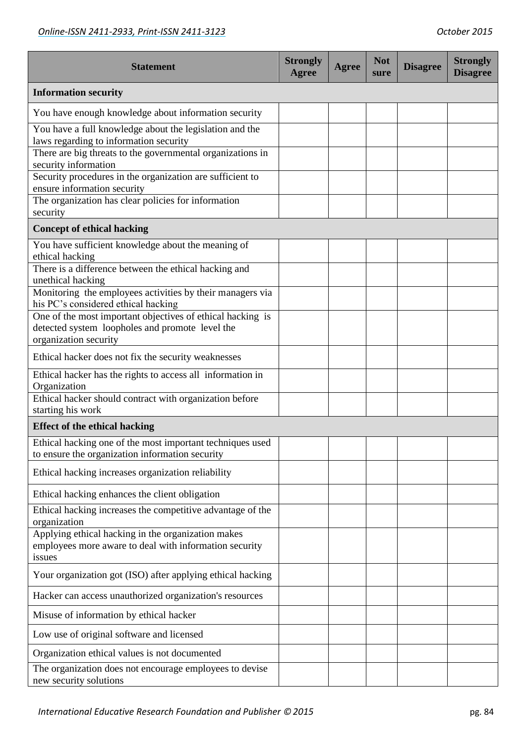| <b>Statement</b>                                                                                                                       | <b>Strongly</b><br><b>Agree</b> | <b>Agree</b> | <b>Not</b><br>sure | <b>Disagree</b> | <b>Strongly</b><br><b>Disagree</b> |
|----------------------------------------------------------------------------------------------------------------------------------------|---------------------------------|--------------|--------------------|-----------------|------------------------------------|
| <b>Information security</b>                                                                                                            |                                 |              |                    |                 |                                    |
| You have enough knowledge about information security                                                                                   |                                 |              |                    |                 |                                    |
| You have a full knowledge about the legislation and the<br>laws regarding to information security                                      |                                 |              |                    |                 |                                    |
| There are big threats to the governmental organizations in<br>security information                                                     |                                 |              |                    |                 |                                    |
| Security procedures in the organization are sufficient to<br>ensure information security                                               |                                 |              |                    |                 |                                    |
| The organization has clear policies for information<br>security                                                                        |                                 |              |                    |                 |                                    |
| <b>Concept of ethical hacking</b>                                                                                                      |                                 |              |                    |                 |                                    |
| You have sufficient knowledge about the meaning of<br>ethical hacking                                                                  |                                 |              |                    |                 |                                    |
| There is a difference between the ethical hacking and<br>unethical hacking                                                             |                                 |              |                    |                 |                                    |
| Monitoring the employees activities by their managers via<br>his PC's considered ethical hacking                                       |                                 |              |                    |                 |                                    |
| One of the most important objectives of ethical hacking is<br>detected system loopholes and promote level the<br>organization security |                                 |              |                    |                 |                                    |
| Ethical hacker does not fix the security weaknesses                                                                                    |                                 |              |                    |                 |                                    |
| Ethical hacker has the rights to access all information in<br>Organization                                                             |                                 |              |                    |                 |                                    |
| Ethical hacker should contract with organization before<br>starting his work                                                           |                                 |              |                    |                 |                                    |
| <b>Effect of the ethical hacking</b>                                                                                                   |                                 |              |                    |                 |                                    |
| Ethical hacking one of the most important techniques used<br>to ensure the organization information security                           |                                 |              |                    |                 |                                    |
| Ethical hacking increases organization reliability                                                                                     |                                 |              |                    |                 |                                    |
| Ethical hacking enhances the client obligation                                                                                         |                                 |              |                    |                 |                                    |
| Ethical hacking increases the competitive advantage of the<br>organization                                                             |                                 |              |                    |                 |                                    |
| Applying ethical hacking in the organization makes<br>employees more aware to deal with information security<br>issues                 |                                 |              |                    |                 |                                    |
| Your organization got (ISO) after applying ethical hacking                                                                             |                                 |              |                    |                 |                                    |
| Hacker can access unauthorized organization's resources                                                                                |                                 |              |                    |                 |                                    |
| Misuse of information by ethical hacker                                                                                                |                                 |              |                    |                 |                                    |
| Low use of original software and licensed                                                                                              |                                 |              |                    |                 |                                    |
| Organization ethical values is not documented                                                                                          |                                 |              |                    |                 |                                    |
| The organization does not encourage employees to devise<br>new security solutions                                                      |                                 |              |                    |                 |                                    |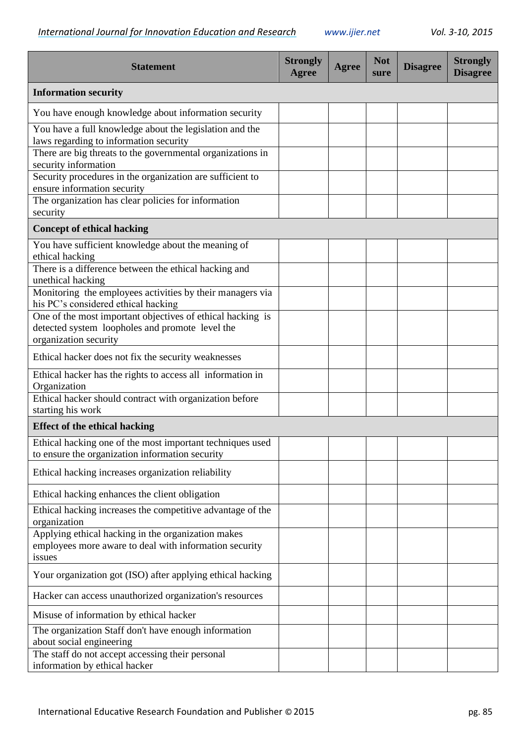| <b>Statement</b>                                                                                                                       | <b>Strongly</b><br>Agree | <b>Agree</b> | <b>Not</b><br>sure | <b>Disagree</b> | <b>Strongly</b><br><b>Disagree</b> |
|----------------------------------------------------------------------------------------------------------------------------------------|--------------------------|--------------|--------------------|-----------------|------------------------------------|
| <b>Information security</b>                                                                                                            |                          |              |                    |                 |                                    |
| You have enough knowledge about information security                                                                                   |                          |              |                    |                 |                                    |
| You have a full knowledge about the legislation and the<br>laws regarding to information security                                      |                          |              |                    |                 |                                    |
| There are big threats to the governmental organizations in<br>security information                                                     |                          |              |                    |                 |                                    |
| Security procedures in the organization are sufficient to<br>ensure information security                                               |                          |              |                    |                 |                                    |
| The organization has clear policies for information<br>security                                                                        |                          |              |                    |                 |                                    |
| <b>Concept of ethical hacking</b>                                                                                                      |                          |              |                    |                 |                                    |
| You have sufficient knowledge about the meaning of<br>ethical hacking                                                                  |                          |              |                    |                 |                                    |
| There is a difference between the ethical hacking and<br>unethical hacking                                                             |                          |              |                    |                 |                                    |
| Monitoring the employees activities by their managers via<br>his PC's considered ethical hacking                                       |                          |              |                    |                 |                                    |
| One of the most important objectives of ethical hacking is<br>detected system loopholes and promote level the<br>organization security |                          |              |                    |                 |                                    |
| Ethical hacker does not fix the security weaknesses                                                                                    |                          |              |                    |                 |                                    |
| Ethical hacker has the rights to access all information in<br>Organization                                                             |                          |              |                    |                 |                                    |
| Ethical hacker should contract with organization before<br>starting his work                                                           |                          |              |                    |                 |                                    |
| <b>Effect of the ethical hacking</b>                                                                                                   |                          |              |                    |                 |                                    |
| Ethical hacking one of the most important techniques used<br>to ensure the organization information security                           |                          |              |                    |                 |                                    |
| Ethical hacking increases organization reliability                                                                                     |                          |              |                    |                 |                                    |
| Ethical hacking enhances the client obligation                                                                                         |                          |              |                    |                 |                                    |
| Ethical hacking increases the competitive advantage of the<br>organization                                                             |                          |              |                    |                 |                                    |
| Applying ethical hacking in the organization makes<br>employees more aware to deal with information security<br>issues                 |                          |              |                    |                 |                                    |
| Your organization got (ISO) after applying ethical hacking                                                                             |                          |              |                    |                 |                                    |
| Hacker can access unauthorized organization's resources                                                                                |                          |              |                    |                 |                                    |
| Misuse of information by ethical hacker                                                                                                |                          |              |                    |                 |                                    |
| The organization Staff don't have enough information<br>about social engineering                                                       |                          |              |                    |                 |                                    |
| The staff do not accept accessing their personal<br>information by ethical hacker                                                      |                          |              |                    |                 |                                    |